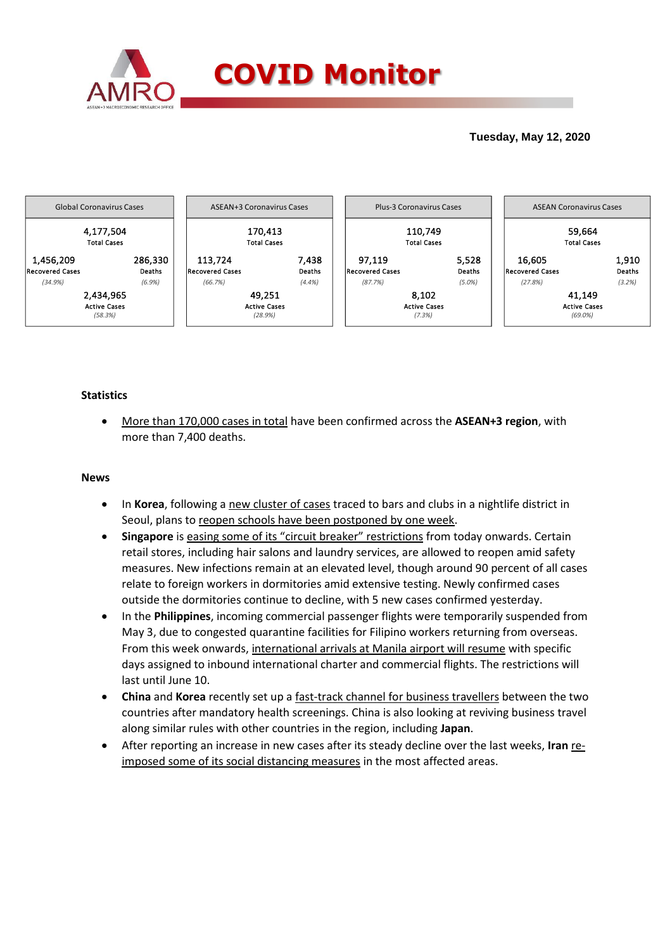

# **Tuesday, May 12, 2020**



# **Statistics**

 More than 170,000 cases in total have been confirmed across the **ASEAN+3 region**, with more than 7,400 deaths.

### **News**

- In **Korea**, following a new cluster of cases traced to bars and clubs in a nightlife district in Seoul, plans to reopen schools have been postponed by one week.
- **Singapore** is easing some of its "circuit breaker" restrictions from today onwards. Certain retail stores, including hair salons and laundry services, are allowed to reopen amid safety measures. New infections remain at an elevated level, though around 90 percent of all cases relate to foreign workers in dormitories amid extensive testing. Newly confirmed cases outside the dormitories continue to decline, with 5 new cases confirmed yesterday.
- In the **Philippines**, incoming commercial passenger flights were temporarily suspended from May 3, due to congested quarantine facilities for Filipino workers returning from overseas. From this week onwards, international arrivals at Manila airport will resume with specific days assigned to inbound international charter and commercial flights. The restrictions will last until June 10.
- **China** and **Korea** recently set up a fast-track channel for business travellers between the two countries after mandatory health screenings. China is also looking at reviving business travel along similar rules with other countries in the region, including **Japan**.
- After reporting an increase in new cases after its steady decline over the last weeks, **Iran** reimposed some of its social distancing measures in the most affected areas.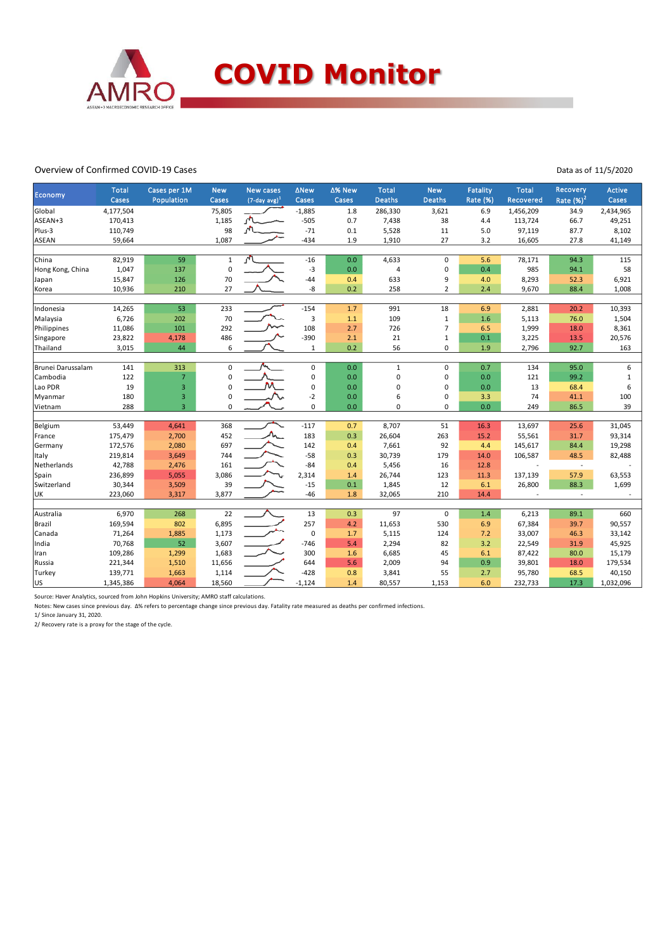

#### Overview of Confirmed COVID-19 Cases

Data as of 11/5/2020

| Economy           | <b>Total</b> | Cases per 1M   | <b>New</b>   | <b>New cases</b>            | <b>ANew</b> | ∆% New | <b>Total</b>  | <b>New</b>     | <b>Fatality</b> | <b>Total</b> | Recovery      | <b>Active</b> |
|-------------------|--------------|----------------|--------------|-----------------------------|-------------|--------|---------------|----------------|-----------------|--------------|---------------|---------------|
|                   | Cases        | Population     | Cases        | $(7$ -day avg) <sup>1</sup> | Cases       | Cases  | <b>Deaths</b> | <b>Deaths</b>  | <b>Rate (%)</b> | Recovered    | Rate $(\%)^2$ | Cases         |
| Global            | 4,177,504    |                | 75,805       |                             | $-1,885$    | 1.8    | 286,330       | 3,621          | 6.9             | 1,456,209    | 34.9          | 2,434,965     |
| ASEAN+3           | 170,413      |                | 1,185        |                             | $-505$      | 0.7    | 7,438         | 38             | 4.4             | 113,724      | 66.7          | 49,251        |
| Plus-3            | 110,749      |                | 98           |                             | $-71$       | 0.1    | 5,528         | 11             | 5.0             | 97,119       | 87.7          | 8,102         |
| ASEAN             | 59,664       |                | 1,087        |                             | $-434$      | 1.9    | 1,910         | 27             | 3.2             | 16,605       | 27.8          | 41,149        |
| China             | 82,919       | 59             | $\mathbf{1}$ | $\sqrt{ }$                  | $-16$       | 0.0    | 4,633         | 0              | 5.6             | 78,171       | 94.3          | 115           |
| Hong Kong, China  | 1,047        | 137            | $\pmb{0}$    |                             | $-3$        | 0.0    | 4             | 0              | 0.4             | 985          | 94.1          | 58            |
| Japan             | 15,847       | 126            | 70           |                             | $-44$       | 0.4    | 633           | 9              | 4.0             | 8,293        | 52.3          | 6,921         |
| Korea             | 10,936       | 210            | 27           |                             | -8          | 0.2    | 258           | $\overline{2}$ | 2.4             | 9,670        | 88.4          | 1,008         |
| Indonesia         | 14,265       | 53             | 233          |                             | $-154$      | $1.7$  | 991           | 18             | 6.9             | 2,881        | 20.2          | 10,393        |
| Malaysia          | 6,726        | 202            | 70           |                             | 3           | $1.1$  | 109           | $\mathbf{1}$   | 1.6             | 5,113        | 76.0          | 1,504         |
| Philippines       | 11,086       | 101            | 292          |                             | 108         | 2.7    | 726           | $\overline{7}$ | 6.5             | 1,999        | 18.0          | 8,361         |
| Singapore         | 23,822       | 4,178          | 486          |                             | $-390$      | 2.1    | 21            | $\mathbf{1}$   | 0.1             | 3,225        | 13.5          | 20,576        |
| Thailand          | 3,015        | 44             | 6            |                             | $\mathbf 1$ | 0.2    | 56            | $\Omega$       | 1.9             | 2,796        | 92.7          | 163           |
| Brunei Darussalam | 141          | 313            | $\mathsf 0$  |                             | $\mathbf 0$ | 0.0    | $\mathbf{1}$  | 0              | 0.7             | 134          | 95.0          | 6             |
| Cambodia          | 122          | $\overline{7}$ | $\mathbf 0$  |                             | $\mathbf 0$ | 0.0    | 0             | 0              | 0.0             | 121          | 99.2          | $\mathbf{1}$  |
| Lao PDR           | 19           | 3              | $\pmb{0}$    |                             | $\pmb{0}$   | 0.0    | 0             | 0              | 0.0             | 13           | 68.4          | 6             |
| Myanmar           | 180          | 3              | $\pmb{0}$    |                             | $-2$        | 0.0    | 6             | 0              | 3.3             | 74           | 41.1          | 100           |
| Vietnam           | 288          | $\overline{3}$ | $\mathbf 0$  |                             | $\mathbf 0$ | 0.0    | $\Omega$      | $\Omega$       | 0.0             | 249          | 86.5          | 39            |
|                   |              |                |              |                             |             |        |               |                |                 |              |               |               |
| Belgium           | 53,449       | 4,641          | 368          |                             | $-117$      | 0.7    | 8,707         | 51             | 16.3            | 13,697       | 25.6          | 31,045        |
| France            | 175,479      | 2,700          | 452          |                             | 183         | 0.3    | 26,604        | 263            | 15.2            | 55,561       | 31.7          | 93,314        |
| Germany           | 172,576      | 2,080          | 697          |                             | 142         | 0.4    | 7,661         | 92             | 4.4             | 145,617      | 84.4          | 19,298        |
| Italy             | 219,814      | 3,649          | 744          |                             | $-58$       | 0.3    | 30,739        | 179            | 14.0            | 106,587      | 48.5          | 82,488        |
| Netherlands       | 42,788       | 2,476          | 161          |                             | $-84$       | 0.4    | 5,456         | 16             | 12.8            | ÷,           | $\sim$        |               |
| Spain             | 236,899      | 5,055          | 3,086        |                             | 2,314       | 1.4    | 26,744        | 123            | 11.3            | 137,139      | 57.9          | 63,553        |
| Switzerland       | 30,344       | 3,509          | 39           |                             | $-15$       | 0.1    | 1,845         | 12             | 6.1             | 26,800       | 88.3          | 1,699         |
| UK                | 223,060      | 3,317          | 3,877        |                             | $-46$       | 1.8    | 32,065        | 210            | 14.4            |              |               |               |
| Australia         | 6,970        | 268            | 22           |                             | 13          | 0.3    | 97            | 0              | 1.4             | 6,213        | 89.1          | 660           |
| Brazil            | 169,594      | 802            | 6,895        |                             | 257         | 4.2    | 11,653        | 530            | 6.9             | 67,384       | 39.7          | 90,557        |
| Canada            | 71,264       | 1,885          | 1,173        |                             | $\pmb{0}$   | 1.7    | 5,115         | 124            | 7.2             | 33,007       | 46.3          | 33,142        |
| India             | 70,768       | 52             | 3,607        |                             | $-746$      | 5.4    | 2,294         | 82             | 3.2             | 22,549       | 31.9          | 45,925        |
| Iran              | 109,286      | 1,299          | 1,683        |                             | 300         | 1.6    | 6,685         | 45             | 6.1             | 87,422       | 80.0          | 15,179        |
| Russia            | 221,344      | 1,510          | 11,656       |                             | 644         | 5.6    | 2,009         | 94             | 0.9             | 39,801       | 18.0          | 179,534       |
| Turkey            | 139,771      | 1,663          | 1,114        |                             | $-428$      | 0.8    | 3,841         | 55             | 2.7             | 95,780       | 68.5          | 40,150        |
| US                | 1,345,386    | 4,064          | 18,560       |                             | $-1,124$    | 1.4    | 80,557        | 1,153          | 6.0             | 232,733      | 17.3          | 1,032,096     |

Source: Haver Analytics, sourced from John Hopkins University; AMRO staff calculations.

Notes: New cases since previous day. Δ% refers to percentage change since previous day. Fatality rate measured as deaths per confirmed infections.

1/ Since January 31, 2020.

2/ Recovery rate is a proxy for the stage of the cycle.